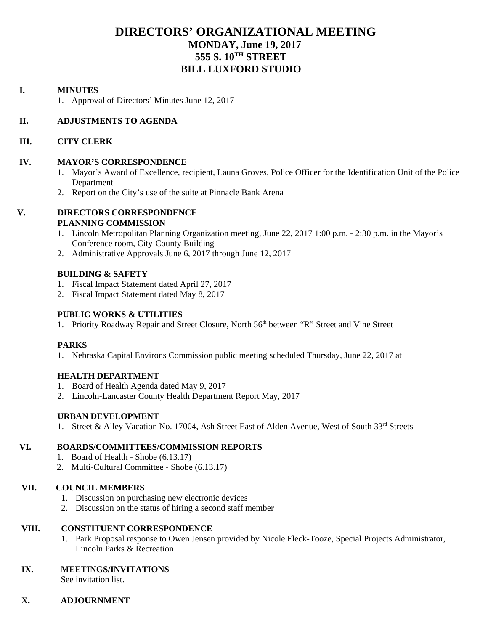## **DIRECTORS' ORGANIZATIONAL MEETING MONDAY, June 19, 2017 555 S. 10TH STREET BILL LUXFORD STUDIO**

#### **I. MINUTES**

1. Approval of Directors' Minutes June 12, 2017

#### **II. ADJUSTMENTS TO AGENDA**

#### **III. CITY CLERK**

#### **IV. MAYOR'S CORRESPONDENCE**

- 1. Mayor's Award of Excellence, recipient, Launa Groves, Police Officer for the Identification Unit of the Police Department
- 2. Report on the City's use of the suite at Pinnacle Bank Arena

#### **V. DIRECTORS CORRESPONDENCE PLANNING COMMISSION**

- 1. Lincoln Metropolitan Planning Organization meeting, June 22, 2017 1:00 p.m. 2:30 p.m. in the Mayor's Conference room, City-County Building
- 2. Administrative Approvals June 6, 2017 through June 12, 2017

#### **BUILDING & SAFETY**

- 1. Fiscal Impact Statement dated April 27, 2017
- 2. Fiscal Impact Statement dated May 8, 2017

#### **PUBLIC WORKS & UTILITIES**

1. Priority Roadway Repair and Street Closure, North 56<sup>th</sup> between "R" Street and Vine Street

#### **PARKS**

1. Nebraska Capital Environs Commission public meeting scheduled Thursday, June 22, 2017 at

### **HEALTH DEPARTMENT**

- 1. Board of Health Agenda dated May 9, 2017
- 2. Lincoln-Lancaster County Health Department Report May, 2017

### **URBAN DEVELOPMENT**

1. Street & Alley Vacation No. 17004, Ash Street East of Alden Avenue, West of South 33rd Streets

### **VI. BOARDS/COMMITTEES/COMMISSION REPORTS**

- 1. Board of Health Shobe (6.13.17)
- 2. Multi-Cultural Committee Shobe (6.13.17)

### **VII. COUNCIL MEMBERS**

- 1. Discussion on purchasing new electronic devices
- 2. Discussion on the status of hiring a second staff member

### **VIII. CONSTITUENT CORRESPONDENCE**

1. Park Proposal response to Owen Jensen provided by Nicole Fleck-Tooze, Special Projects Administrator, Lincoln Parks & Recreation

### **IX. MEETINGS/INVITATIONS**

See invitation list.

### **X. ADJOURNMENT**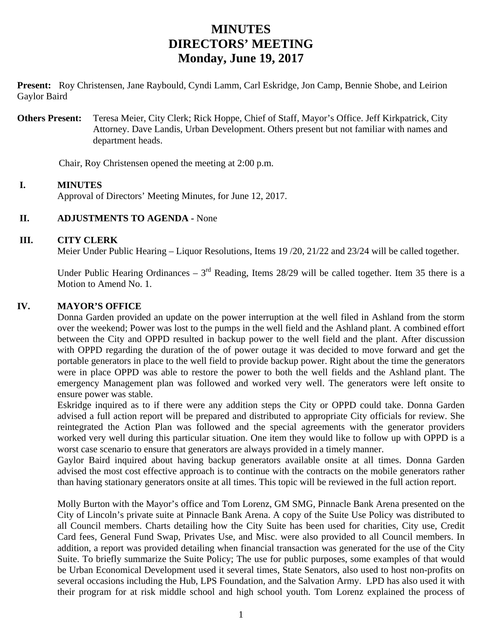# **MINUTES DIRECTORS' MEETING Monday, June 19, 2017**

**Present:** Roy Christensen, Jane Raybould, Cyndi Lamm, Carl Eskridge, Jon Camp, Bennie Shobe, and Leirion Gaylor Baird

**Others Present:** Teresa Meier, City Clerk; Rick Hoppe, Chief of Staff, Mayor's Office. Jeff Kirkpatrick, City Attorney. Dave Landis, Urban Development. Others present but not familiar with names and department heads.

Chair, Roy Christensen opened the meeting at 2:00 p.m.

### **I. MINUTES**

Approval of Directors' Meeting Minutes, for June 12, 2017.

#### **II. ADJUSTMENTS TO AGENDA -** None

#### **III. CITY CLERK**

Meier Under Public Hearing – Liquor Resolutions, Items 19 /20, 21/22 and 23/24 will be called together.

Under Public Hearing Ordinances –  $3<sup>rd</sup>$  Reading, Items 28/29 will be called together. Item 35 there is a Motion to Amend No. 1.

#### **IV. MAYOR'S OFFICE**

Donna Garden provided an update on the power interruption at the well filed in Ashland from the storm over the weekend; Power was lost to the pumps in the well field and the Ashland plant. A combined effort between the City and OPPD resulted in backup power to the well field and the plant. After discussion with OPPD regarding the duration of the of power outage it was decided to move forward and get the portable generators in place to the well field to provide backup power. Right about the time the generators were in place OPPD was able to restore the power to both the well fields and the Ashland plant. The emergency Management plan was followed and worked very well. The generators were left onsite to ensure power was stable.

Eskridge inquired as to if there were any addition steps the City or OPPD could take. Donna Garden advised a full action report will be prepared and distributed to appropriate City officials for review. She reintegrated the Action Plan was followed and the special agreements with the generator providers worked very well during this particular situation. One item they would like to follow up with OPPD is a worst case scenario to ensure that generators are always provided in a timely manner.

Gaylor Baird inquired about having backup generators available onsite at all times. Donna Garden advised the most cost effective approach is to continue with the contracts on the mobile generators rather than having stationary generators onsite at all times. This topic will be reviewed in the full action report.

Molly Burton with the Mayor's office and Tom Lorenz, GM SMG, Pinnacle Bank Arena presented on the City of Lincoln's private suite at Pinnacle Bank Arena. A copy of the Suite Use Policy was distributed to all Council members. Charts detailing how the City Suite has been used for charities, City use, Credit Card fees, General Fund Swap, Privates Use, and Misc. were also provided to all Council members. In addition, a report was provided detailing when financial transaction was generated for the use of the City Suite. To briefly summarize the Suite Policy; The use for public purposes, some examples of that would be Urban Economical Development used it several times, State Senators, also used to host non-profits on several occasions including the Hub, LPS Foundation, and the Salvation Army. LPD has also used it with their program for at risk middle school and high school youth. Tom Lorenz explained the process of